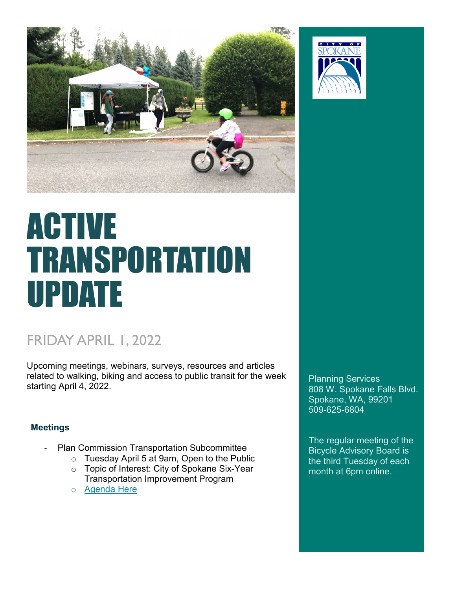

# ACTIVE TRANSPORTATION UPDATE

## FRIDAY APRIL 1, 2022

Upcoming meetings, webinars, surveys, resources and articles related to walking, biking and access to public transit for the week starting April 4, 2022.

#### **Meetings**

- Plan Commission Transportation Subcommittee
	- o Tuesday April 5 at 9am, Open to the Public
	- o Topic of Interest: City of Spokane Six-Year Transportation Improvement Program
	- o [Agenda Here](https://static.spokanecity.org/documents/bcc/commissions/plan-commission/transportation-subcommittee/agendas/2022/04/pcts-agenda-2022-04-04.pdf)



Planning Services 808 W. Spokane Falls Blvd. Spokane, WA, 99201 509-625-6804

The regular meeting of the [Bicycle Advisory Board](https://my.spokanecity.org/bcc/boards/bicycle-advisory-board/) is the third Tuesday of each month at 6pm online.